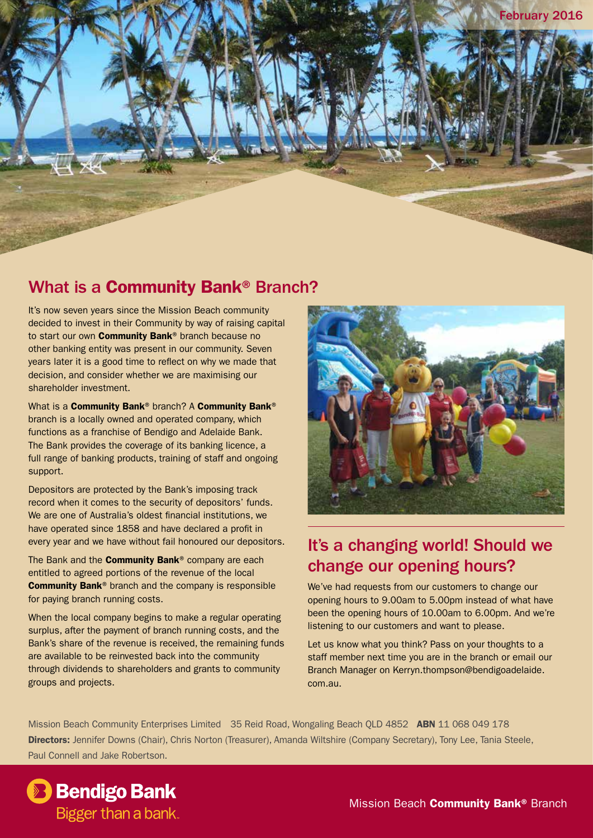

#### What is a Community Bank® Branch?

It's now seven years since the Mission Beach community decided to invest in their Community by way of raising capital to start our own **Community Bank®** branch because no other banking entity was present in our community. Seven years later it is a good time to reflect on why we made that decision, and consider whether we are maximising our shareholder investment.

What is a **Community Bank®** branch? A **Community Bank®** branch is a locally owned and operated company, which functions as a franchise of Bendigo and Adelaide Bank. The Bank provides the coverage of its banking licence, a full range of banking products, training of staff and ongoing support.

Depositors are protected by the Bank's imposing track record when it comes to the security of depositors' funds. We are one of Australia's oldest financial institutions, we have operated since 1858 and have declared a profit in every year and we have without fail honoured our depositors.

The Bank and the **Community Bank®** company are each entitled to agreed portions of the revenue of the local Community Bank® branch and the company is responsible for paying branch running costs.

When the local company begins to make a regular operating surplus, after the payment of branch running costs, and the Bank's share of the revenue is received, the remaining funds are available to be reinvested back into the community through dividends to shareholders and grants to community groups and projects.



## It's a changing world! Should we change our opening hours?

We've had requests from our customers to change our opening hours to 9.00am to 5.00pm instead of what have been the opening hours of 10.00am to 6.00pm. And we're listening to our customers and want to please.

Let us know what you think? Pass on your thoughts to a staff member next time you are in the branch or email our Branch Manager on Kerryn.thompson@bendigoadelaide. com.au.

Mission Beach Community Enterprises Limited 35 Reid Road, Wongaling Beach QLD 4852 ABN 11 068 049 178 Directors: Jennifer Downs (Chair), Chris Norton (Treasurer), Amanda Wiltshire (Company Secretary), Tony Lee, Tania Steele, Paul Connell and Jake Robertson.

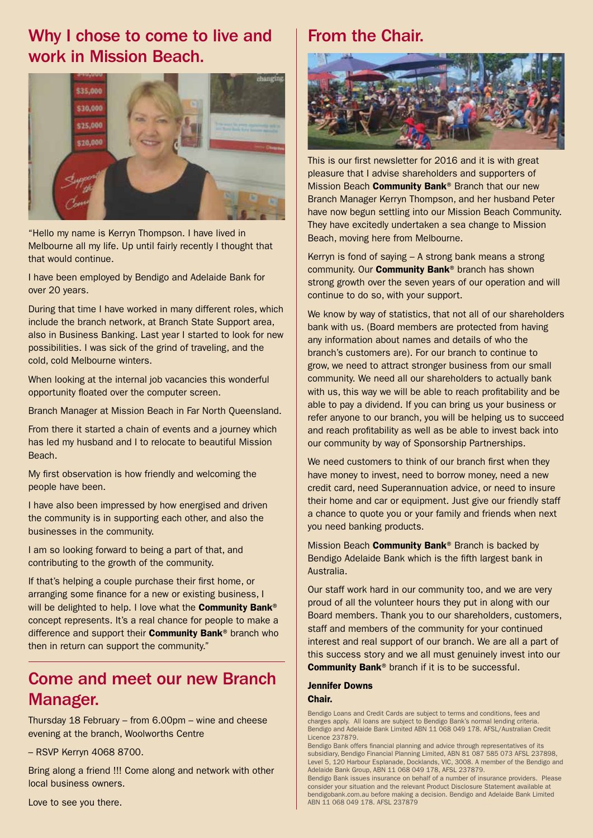### Why I chose to come to live and work in Mission Beach.



"Hello my name is Kerryn Thompson. I have lived in Melbourne all my life. Up until fairly recently I thought that that would continue.

I have been employed by Bendigo and Adelaide Bank for over 20 years.

During that time I have worked in many different roles, which include the branch network, at Branch State Support area, also in Business Banking. Last year I started to look for new possibilities. I was sick of the grind of traveling, and the cold, cold Melbourne winters.

When looking at the internal job vacancies this wonderful opportunity floated over the computer screen.

Branch Manager at Mission Beach in Far North Queensland.

From there it started a chain of events and a journey which has led my husband and I to relocate to beautiful Mission Beach.

My first observation is how friendly and welcoming the people have been.

I have also been impressed by how energised and driven the community is in supporting each other, and also the businesses in the community.

I am so looking forward to being a part of that, and contributing to the growth of the community.

If that's helping a couple purchase their first home, or arranging some finance for a new or existing business, I will be delighted to help. I love what the **Community Bank®** concept represents. It's a real chance for people to make a difference and support their **Community Bank®** branch who then in return can support the community."

#### Come and meet our new Branch Manager.

Thursday 18 February – from 6.00pm – wine and cheese evening at the branch, Woolworths Centre

– RSVP Kerryn 4068 8700.

Bring along a friend !!! Come along and network with other local business owners.

#### Love to see you there.

#### From the Chair.



This is our first newsletter for 2016 and it is with great pleasure that I advise shareholders and supporters of Mission Beach **Community Bank<sup>®</sup> Branch that our new** Branch Manager Kerryn Thompson, and her husband Peter have now begun settling into our Mission Beach Community. They have excitedly undertaken a sea change to Mission Beach, moving here from Melbourne.

Kerryn is fond of saying – A strong bank means a strong community. Our **Community Bank®** branch has shown strong growth over the seven years of our operation and will continue to do so, with your support.

We know by way of statistics, that not all of our shareholders bank with us. (Board members are protected from having any information about names and details of who the branch's customers are). For our branch to continue to grow, we need to attract stronger business from our small community. We need all our shareholders to actually bank with us, this way we will be able to reach profitability and be able to pay a dividend. If you can bring us your business or refer anyone to our branch, you will be helping us to succeed and reach profitability as well as be able to invest back into our community by way of Sponsorship Partnerships.

We need customers to think of our branch first when they have money to invest, need to borrow money, need a new credit card, need Superannuation advice, or need to insure their home and car or equipment. Just give our friendly staff a chance to quote you or your family and friends when next you need banking products.

Mission Beach **Community Bank**® Branch is backed by Bendigo Adelaide Bank which is the fifth largest bank in Australia.

Our staff work hard in our community too, and we are very proud of all the volunteer hours they put in along with our Board members. Thank you to our shareholders, customers, staff and members of the community for your continued interest and real support of our branch. We are all a part of this success story and we all must genuinely invest into our Community Bank® branch if it is to be successful.

#### Jennifer Downs Chair.

Bendigo Loans and Credit Cards are subject to terms and conditions, fees and charges apply. All loans are subject to Bendigo Bank's normal lending criteria. Bendigo and Adelaide Bank Limited ABN 11 068 049 178. AFSL/Australian Credit Licence 237879.

Bendigo Bank offers financial planning and advice through representatives of its subsidiary, Bendigo Financial Planning Limited, ABN 81 087 585 073 AFSL 237898, Level 5, 120 Harbour Esplanade, Docklands, VIC, 3008. A member of the Bendigo and Adelaide Bank Group, ABN 11 068 049 178, AFSL 237879.

Bendigo Bank issues insurance on behalf of a number of insurance providers. Please consider your situation and the relevant Product Disclosure Statement available at bendigobank.com.au before making a decision. Bendigo and Adelaide Bank Limited ABN 11 068 049 178. AFSL 237879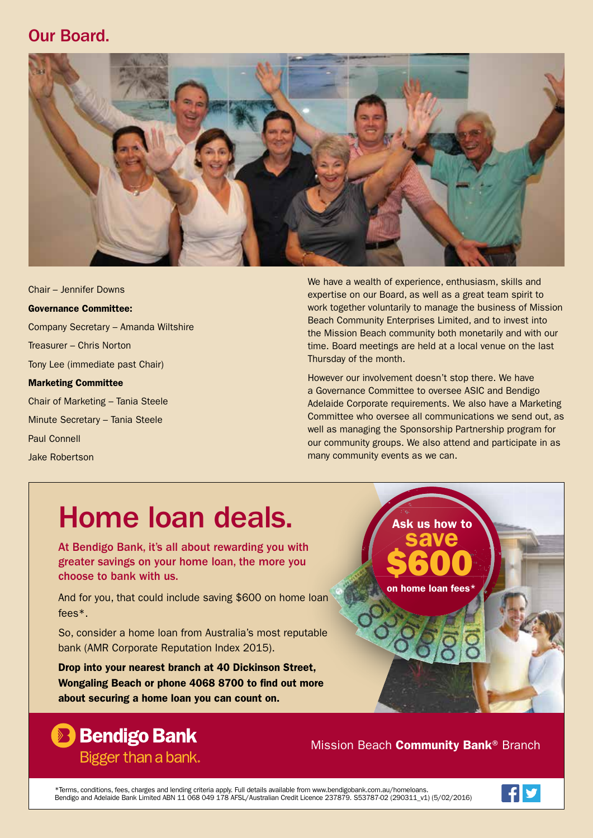#### Our Board.



Chair – Jennifer Downs Governance Committee: Company Secretary – Amanda Wiltshire Treasurer – Chris Norton Tony Lee (immediate past Chair) Marketing Committee Chair of Marketing – Tania Steele Minute Secretary – Tania Steele Paul Connell Jake Robertson

We have a wealth of experience, enthusiasm, skills and expertise on our Board, as well as a great team spirit to work together voluntarily to manage the business of Mission Beach Community Enterprises Limited, and to invest into the Mission Beach community both monetarily and with our time. Board meetings are held at a local venue on the last Thursday of the month.

However our involvement doesn't stop there. We have a Governance Committee to oversee ASIC and Bendigo Adelaide Corporate requirements. We also have a Marketing Committee who oversee all communications we send out, as well as managing the Sponsorship Partnership program for our community groups. We also attend and participate in as many community events as we can.

# Home loan deals.

At Bendigo Bank, it's all about rewarding you with greater savings on your home loan, the more you choose to bank with us.

And for you, that could include saving \$600 on home loan fees\*.

So, consider a home loan from Australia's most reputable bank (AMR Corporate Reputation Index 2015).

Drop into your nearest branch at 40 Dickinson Street, Wongaling Beach or phone 4068 8700 to find out more about securing a home loan you can count on.



### **Bendigo Bank** Bigger than a bank.

Mission Beach **Community Bank®** Branch

\*Terms, conditions, fees, charges and lending criteria apply. Full details available from www.bendigobank.com.au/homeloans.<br>Bendigo and Adelaide Bank Limited ABN 11 068 049 178 AFSL/Australian Credit Licence 237879. S53787